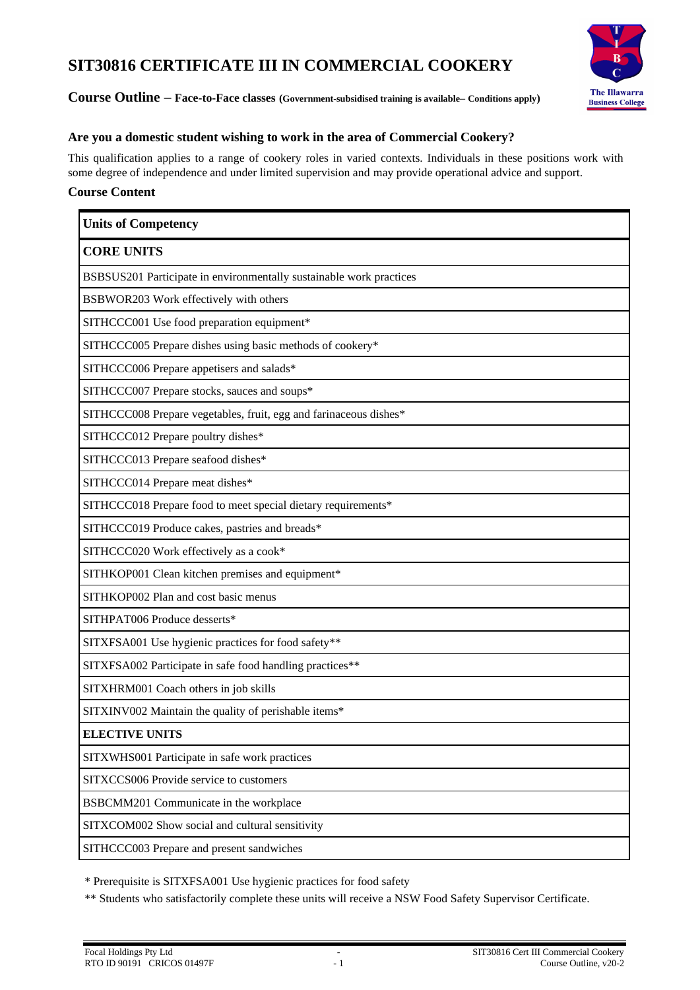# **SIT30816 CERTIFICATE III IN COMMERCIAL COOKERY**



**Course Outline – Face-to-Face classes (Government-subsidised training is available– Conditions apply)**

## **Are you a domestic student wishing to work in the area of Commercial Cookery?**

This qualification applies to a range of cookery roles in varied contexts. Individuals in these positions work with some degree of independence and under limited supervision and may provide operational advice and support.

## **Course Content**

| <b>Units of Competency</b>                                          |
|---------------------------------------------------------------------|
| <b>CORE UNITS</b>                                                   |
| BSBSUS201 Participate in environmentally sustainable work practices |
| BSBWOR203 Work effectively with others                              |
| SITHCCC001 Use food preparation equipment*                          |
| SITHCCC005 Prepare dishes using basic methods of cookery*           |
| SITHCCC006 Prepare appetisers and salads*                           |
| SITHCCC007 Prepare stocks, sauces and soups*                        |
| SITHCCC008 Prepare vegetables, fruit, egg and farinaceous dishes*   |
| SITHCCC012 Prepare poultry dishes*                                  |
| SITHCCC013 Prepare seafood dishes*                                  |
| SITHCCC014 Prepare meat dishes*                                     |
| SITHCCC018 Prepare food to meet special dietary requirements*       |
| SITHCCC019 Produce cakes, pastries and breads*                      |
| SITHCCC020 Work effectively as a cook*                              |
| SITHKOP001 Clean kitchen premises and equipment*                    |
| SITHKOP002 Plan and cost basic menus                                |
| SITHPAT006 Produce desserts*                                        |
| SITXFSA001 Use hygienic practices for food safety**                 |
| SITXFSA002 Participate in safe food handling practices**            |
| SITXHRM001 Coach others in job skills                               |
| SITXINV002 Maintain the quality of perishable items*                |
| <b>ELECTIVE UNITS</b>                                               |
| SITXWHS001 Participate in safe work practices                       |
| SITXCCS006 Provide service to customers                             |
| BSBCMM201 Communicate in the workplace                              |
| SITXCOM002 Show social and cultural sensitivity                     |
| SITHCCC003 Prepare and present sandwiches                           |

\* Prerequisite is SITXFSA001 Use hygienic practices for food safety

\*\* Students who satisfactorily complete these units will receive a NSW Food Safety Supervisor Certificate.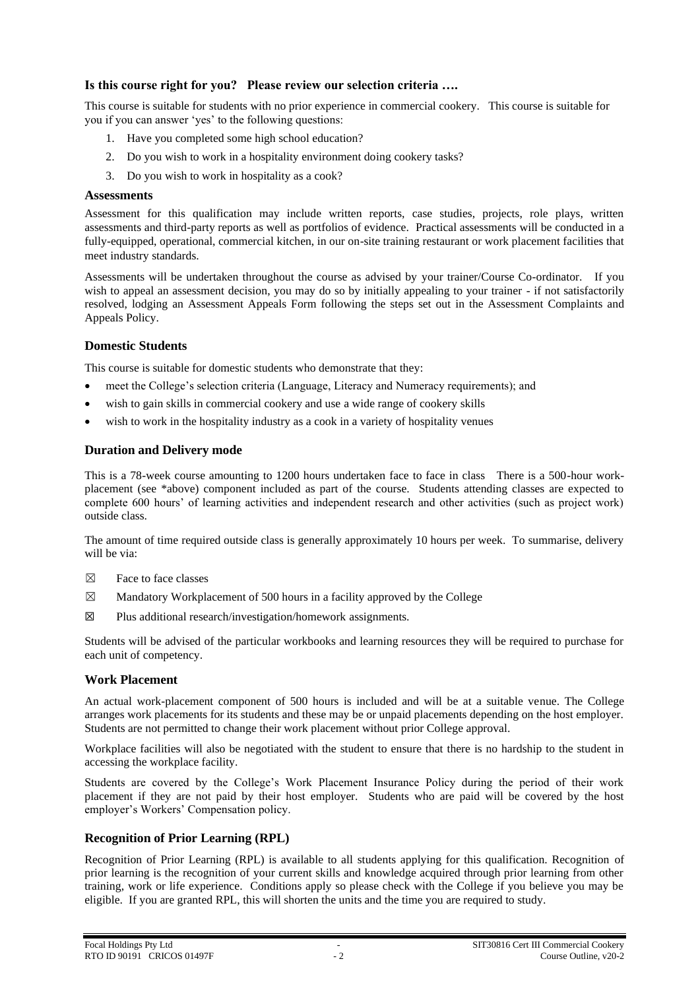## **Is this course right for you? Please review our selection criteria ….**

This course is suitable for students with no prior experience in commercial cookery. This course is suitable for you if you can answer 'yes' to the following questions:

- 1. Have you completed some high school education?
- 2. Do you wish to work in a hospitality environment doing cookery tasks?
- 3. Do you wish to work in hospitality as a cook?

#### **Assessments**

Assessment for this qualification may include written reports, case studies, projects, role plays, written assessments and third-party reports as well as portfolios of evidence. Practical assessments will be conducted in a fully-equipped, operational, commercial kitchen, in our on-site training restaurant or work placement facilities that meet industry standards.

Assessments will be undertaken throughout the course as advised by your trainer/Course Co-ordinator. If you wish to appeal an assessment decision, you may do so by initially appealing to your trainer - if not satisfactorily resolved, lodging an Assessment Appeals Form following the steps set out in the Assessment Complaints and Appeals Policy.

## **Domestic Students**

This course is suitable for domestic students who demonstrate that they:

- meet the College's selection criteria (Language, Literacy and Numeracy requirements); and
- wish to gain skills in commercial cookery and use a wide range of cookery skills
- wish to work in the hospitality industry as a cook in a variety of hospitality venues

## **Duration and Delivery mode**

This is a 78-week course amounting to 1200 hours undertaken face to face in class There is a 500-hour workplacement (see \*above) component included as part of the course. Students attending classes are expected to complete 600 hours' of learning activities and independent research and other activities (such as project work) outside class.

The amount of time required outside class is generally approximately 10 hours per week. To summarise, delivery will be via:

- $\boxtimes$  Face to face classes
- $\boxtimes$  Mandatory Workplacement of 500 hours in a facility approved by the College
- $\boxtimes$  Plus additional research/investigation/homework assignments.

Students will be advised of the particular workbooks and learning resources they will be required to purchase for each unit of competency.

## **Work Placement**

An actual work-placement component of 500 hours is included and will be at a suitable venue. The College arranges work placements for its students and these may be or unpaid placements depending on the host employer. Students are not permitted to change their work placement without prior College approval.

Workplace facilities will also be negotiated with the student to ensure that there is no hardship to the student in accessing the workplace facility.

Students are covered by the College's Work Placement Insurance Policy during the period of their work placement if they are not paid by their host employer. Students who are paid will be covered by the host employer's Workers' Compensation policy.

## **Recognition of Prior Learning (RPL)**

Recognition of Prior Learning (RPL) is available to all students applying for this qualification. Recognition of prior learning is the recognition of your current skills and knowledge acquired through prior learning from other training, work or life experience. Conditions apply so please check with the College if you believe you may be eligible. If you are granted RPL, this will shorten the units and the time you are required to study.